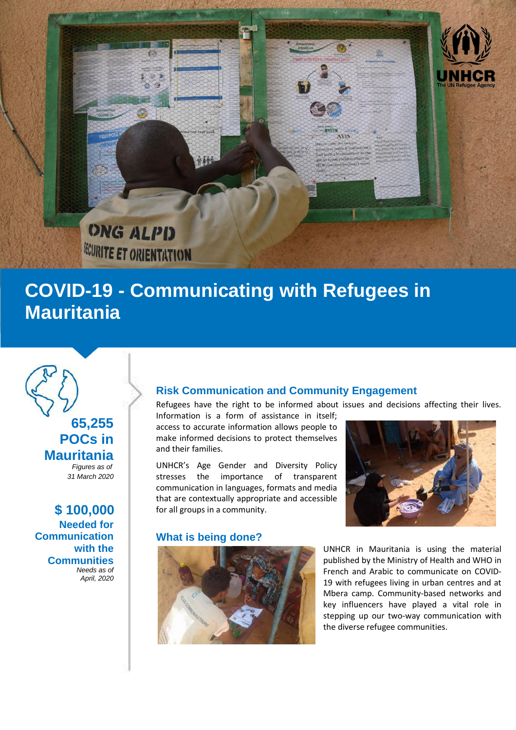

# **COVID-19 - Communicating with Refugees in Mauritania**



 **\$ 100,000 Needed for Communication with the Communities** *Needs as of April, 2020*

# **Risk Communication and Community Engagement**

Refugees have the right to be informed about issues and decisions affecting their lives.

Information is a form of assistance in itself; access to accurate information allows people to make informed decisions to protect themselves and their families.

UNHCR's Age Gender and Diversity Policy stresses the importance of transparent communication in languages, formats and media that are contextually appropriate and accessible for all groups in a community.

### **What is being done?**



UNHCR in Mauritania is using the material published by the Ministry of Health and WHO in French and Arabic to communicate on COVID-19 with refugees living in urban centres and at Mbera camp. Community-based networks and key influencers have played a vital role in stepping up our two-way communication with the diverse refugee communities.